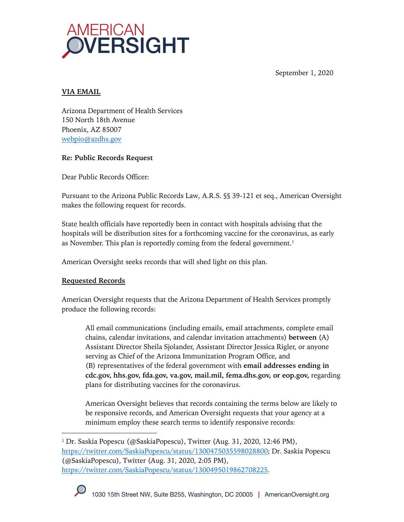

September 1, 2020

## **VIA EMAIL**

Arizona Department of Health Services 150 North 18th Avenue Phoenix, AZ 85007 webpio@azdhs.gov

# **Re: Public Records Request**

Dear Public Records Officer:

Pursuant to the Arizona Public Records Law, A.R.S. §§ 39-121 et seq., American Oversight makes the following request for records.

State health officials have reportedly been in contact with hospitals advising that the hospitals will be distribution sites for a forthcoming vaccine for the coronavirus, as early as November. This plan is reportedly coming from the federal government.<sup>1</sup>

American Oversight seeks records that will shed light on this plan.

# **Requested Records**

American Oversight requests that the Arizona Department of Health Services promptly produce the following records:

All email communications (including emails, email attachments, complete email chains, calendar invitations, and calendar invitation attachments) **between** (A) Assistant Director Sheila Sjolander, Assistant Director Jessica Rigler, or anyone serving as Chief of the Arizona Immunization Program Office, and (B) representatives of the federal government with **email addresses ending in cdc.gov, hhs.gov, fda.gov, va.gov, mail.mil, fema.dhs.gov, or eop.gov,** regarding plans for distributing vaccines for the coronavirus.

American Oversight believes that records containing the terms below are likely to be responsive records, and American Oversight requests that your agency at a minimum employ these search terms to identify responsive records:

<sup>&</sup>lt;sup>1</sup> Dr. Saskia Popescu (@SaskiaPopescu), Twitter (Aug. 31, 2020, 12:46 PM), https://twitter.com/SaskiaPopescu/status/1300475035598028800; Dr. Saskia Popescu (@SaskiaPopescu), Twitter (Aug. 31, 2020, 2:05 PM), https://twitter.com/SaskiaPopescu/status/1300495019862708225.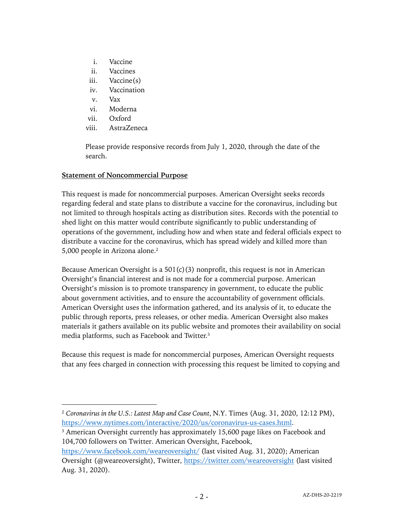- i. Vaccine
- ii. Vaccines
- iii. Vaccine(s)
- iv. Vaccination
- v. Vax
- vi. Moderna
- vii. Oxford
- viii. AstraZeneca

Please provide responsive records from July 1, 2020, through the date of the search.

#### **Statement of Noncommercial Purpose**

This request is made for noncommercial purposes. American Oversight seeks records regarding federal and state plans to distribute a vaccine for the coronavirus, including but not limited to through hospitals acting as distribution sites. Records with the potential to shed light on this matter would contribute significantly to public understanding of operations of the government, including how and when state and federal officials expect to distribute a vaccine for the coronavirus, which has spread widely and killed more than 5,000 people in Arizona alone.2

Because American Oversight is a  $501(c)(3)$  nonprofit, this request is not in American Oversight's financial interest and is not made for a commercial purpose. American Oversight's mission is to promote transparency in government, to educate the public about government activities, and to ensure the accountability of government officials. American Oversight uses the information gathered, and its analysis of it, to educate the public through reports, press releases, or other media. American Oversight also makes materials it gathers available on its public website and promotes their availability on social media platforms, such as Facebook and Twitter.3

Because this request is made for noncommercial purposes, American Oversight requests that any fees charged in connection with processing this request be limited to copying and

<sup>2</sup> *Coronavirus in the U.S.: Latest Map and Case Count*, N.Y. Times (Aug. 31, 2020, 12:12 PM), https://www.nytimes.com/interactive/2020/us/coronavirus-us-cases.html.

<sup>&</sup>lt;sup>3</sup> American Oversight currently has approximately 15,600 page likes on Facebook and 104,700 followers on Twitter. American Oversight, Facebook,

https://www.facebook.com/weareoversight/ (last visited Aug. 31, 2020); American Oversight (@weareoversight), Twitter, https://twitter.com/weareoversight (last visited Aug. 31, 2020).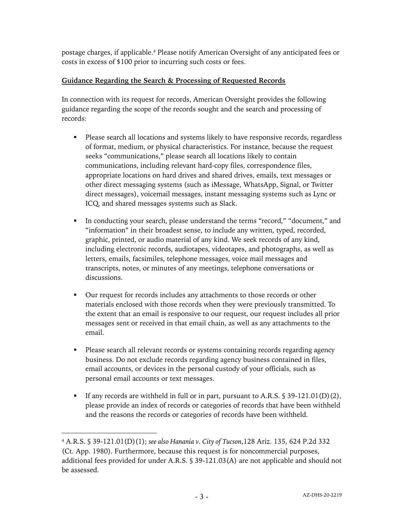postage charges, if applicable.4 Please notify American Oversight of any anticipated fees or costs in excess of \$100 prior to incurring such costs or fees.

### **Guidance Regarding the Search & Processing of Requested Records**

In connection with its request for records, American Oversight provides the following guidance regarding the scope of the records sought and the search and processing of records:

- § Please search all locations and systems likely to have responsive records, regardless of format, medium, or physical characteristics. For instance, because the request seeks "communications," please search all locations likely to contain communications, including relevant hard-copy files, correspondence files, appropriate locations on hard drives and shared drives, emails, text messages or other direct messaging systems (such as iMessage, WhatsApp, Signal, or Twitter direct messages), voicemail messages, instant messaging systems such as Lync or ICQ, and shared messages systems such as Slack.
- In conducting your search, please understand the terms "record," "document," and "information" in their broadest sense, to include any written, typed, recorded, graphic, printed, or audio material of any kind. We seek records of any kind, including electronic records, audiotapes, videotapes, and photographs, as well as letters, emails, facsimiles, telephone messages, voice mail messages and transcripts, notes, or minutes of any meetings, telephone conversations or discussions.
- Our request for records includes any attachments to those records or other materials enclosed with those records when they were previously transmitted. To the extent that an email is responsive to our request, our request includes all prior messages sent or received in that email chain, as well as any attachments to the email.
- Please search all relevant records or systems containing records regarding agency business. Do not exclude records regarding agency business contained in files, email accounts, or devices in the personal custody of your officials, such as personal email accounts or text messages.
- If any records are withheld in full or in part, pursuant to A.R.S. § 39-121.01(D)(2), please provide an index of records or categories of records that have been withheld and the reasons the records or categories of records have been withheld.

<sup>4</sup> A.R.S. § 39-121.01(D)(1); *see also Hanania v. City of Tucson*,128 Ariz. 135, 624 P.2d 332 (Ct. App. 1980). Furthermore, because this request is for noncommercial purposes, additional fees provided for under A.R.S. § 39-121.03(A) are not applicable and should not be assessed.